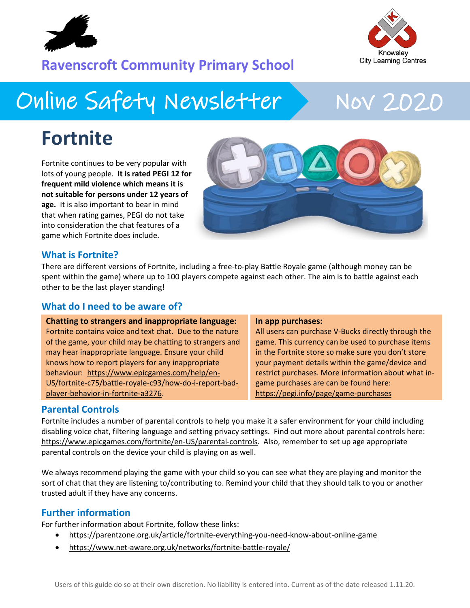

## Knowsley **City Learning Centres**

### **Ravenscroft Community Primary School**

## Online Safety Newsletter Nov 2020

## **Fortnite**

Fortnite continues to be very popular with lots of young people. **It is rated PEGI 12 for frequent mild violence which means it is not suitable for persons under 12 years of age.** It is also important to bear in mind that when rating games, PEGI do not take into consideration the chat features of a game which Fortnite does include.



### **What is Fortnite?**

There are different versions of Fortnite, including a free-to-play Battle Royale game (although money can be spent within the game) where up to 100 players compete against each other. The aim is to battle against each other to be the last player standing!

#### **What do I need to be aware of?**

| <b>Chatting to strangers and inappropriate language:</b> | In app purchases:                                   |
|----------------------------------------------------------|-----------------------------------------------------|
| Fortnite contains voice and text chat. Due to the nature | All users can purchase V-Bucks directly through the |
| of the game, your child may be chatting to strangers and | game. This currency can be used to purchase items   |
| may hear inappropriate language. Ensure your child       | in the Fortnite store so make sure you don't store  |
| knows how to report players for any inappropriate        | your payment details within the game/device and     |
| behaviour: https://www.epicgames.com/help/en-            | restrict purchases. More information about what in- |
| US/fortnite-c75/battle-royale-c93/how-do-i-report-bad-   | game purchases are can be found here:               |
| player-behavior-in-fortnite-a3276.                       | https://pegi.info/page/game-purchases               |

#### **Parental Controls**

Fortnite includes a number of parental controls to help you make it a safer environment for your child including disabling voice chat, filtering language and setting privacy settings. Find out more about parental controls here: [https://www.epicgames.com/fortnite/en-US/parental-controls.](https://www.epicgames.com/fortnite/en-US/parental-controls) Also, remember to set up age appropriate parental controls on the device your child is playing on as well.

We always recommend playing the game with your child so you can see what they are playing and monitor the sort of chat that they are listening to/contributing to. Remind your child that they should talk to you or another trusted adult if they have any concerns.

### **Further information**

For further information about Fortnite, follow these links:

- <https://parentzone.org.uk/article/fortnite-everything-you-need-know-about-online-game>
- <https://www.net-aware.org.uk/networks/fortnite-battle-royale/>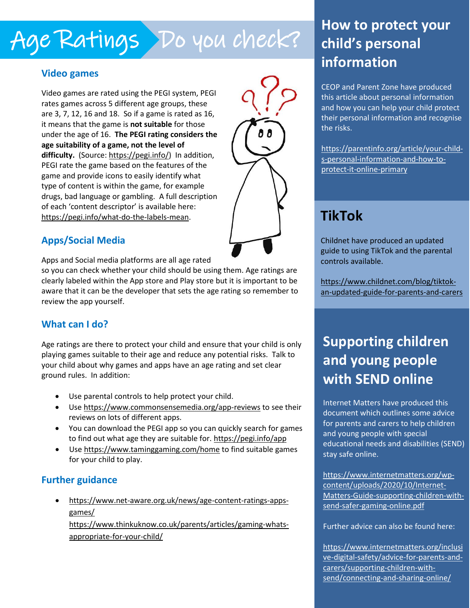## Age Ratings Do you check?

### **Video games**

Video games are rated using the PEGI system, PEGI rates games across 5 different age groups, these are 3, 7, 12, 16 and 18. So if a game is rated as 16, it means that the game is **not suitable** for those under the age of 16. **The PEGI rating considers the age suitability of a game, not the level of** difficulty. (Source: [https://pegi.info/\)](https://pegi.info/) In addition, PEGI rate the game based on the features of the game and provide icons to easily identify what type of content is within the game, for example drugs, bad language or gambling. A full description of each 'content descriptor' is available here: [https://pegi.info/what-do-the-labels-mean.](https://pegi.info/what-do-the-labels-mean)



### **Apps/Social Media**

Apps and Social media platforms are all age rated

so you can check whether your child should be using them. Age ratings are clearly labeled within the App store and Play store but it is important to be aware that it can be the developer that sets the age rating so remember to review the app yourself.

### **What can I do?**

Age ratings are there to protect your child and ensure that your child is only playing games suitable to their age and reduce any potential risks. Talk to your child about why games and apps have an age rating and set clear ground rules. In addition:

- Use parental controls to help protect your child.
- Use<https://www.commonsensemedia.org/app-reviews> to see their reviews on lots of different apps.
- You can download the PEGI app so you can quickly search for games to find out what age they are suitable for. https://pegi.info/app
- Use<https://www.taminggaming.com/home> to find suitable games for your child to play.

### **Further guidance**

 [https://www.net-aware.org.uk/news/age-content-ratings-apps](https://www.net-aware.org.uk/news/age-content-ratings-apps-games/)[games/](https://www.net-aware.org.uk/news/age-content-ratings-apps-games/) 

 [https://www.thinkuknow.co.uk/parents/articles/gaming-whats](https://www.thinkuknow.co.uk/parents/articles/gaming-whats-appropriate-for-your-child/)[appropriate-for-your-child/](https://www.thinkuknow.co.uk/parents/articles/gaming-whats-appropriate-for-your-child/) 

### **How to protect your child's personal information**

CEOP and Parent Zone have produced this article about personal information and how you can help your child protect their personal information and recognise the risks.

[https://parentinfo.org/article/your-child](https://parentinfo.org/article/your-child-s-personal-information-and-how-to-protect-it-online-primary)[s-personal-information-and-how-to](https://parentinfo.org/article/your-child-s-personal-information-and-how-to-protect-it-online-primary)[protect-it-online-primary](https://parentinfo.org/article/your-child-s-personal-information-and-how-to-protect-it-online-primary) 

### **TikTok**

Childnet have produced an updated guide to using TikTok and the parental controls available.

[https://www.childnet.com/blog/tiktok](https://www.childnet.com/blog/tiktok-an-updated-guide-for-parents-and-carers)[an-updated-guide-for-parents-and-carers](https://www.childnet.com/blog/tiktok-an-updated-guide-for-parents-and-carers) 

### **Supporting children and young people with SEND online**

Internet Matters have produced this document which outlines some advice for parents and carers to help children and young people with special educational needs and disabilities (SEND) stay safe online.

[https://www.internetmatters.org/wp](https://www.internetmatters.org/wp-content/uploads/2020/10/Internet-Matters-Guide-supporting-children-with-send-safer-gaming-online.pdf)[content/uploads/2020/10/Internet-](https://www.internetmatters.org/wp-content/uploads/2020/10/Internet-Matters-Guide-supporting-children-with-send-safer-gaming-online.pdf)[Matters-Guide-supporting-children-with](https://www.internetmatters.org/wp-content/uploads/2020/10/Internet-Matters-Guide-supporting-children-with-send-safer-gaming-online.pdf)[send-safer-gaming-online.pdf](https://www.internetmatters.org/wp-content/uploads/2020/10/Internet-Matters-Guide-supporting-children-with-send-safer-gaming-online.pdf)

Further advice can also be found here:

[https://www.internetmatters.org/inclusi](https://www.internetmatters.org/inclusive-digital-safety/advice-for-parents-and-carers/supporting-children-with-send/connecting-and-sharing-online/) [ve-digital-safety/advice-for-parents-and](https://www.internetmatters.org/inclusive-digital-safety/advice-for-parents-and-carers/supporting-children-with-send/connecting-and-sharing-online/)[carers/supporting-children-with](https://www.internetmatters.org/inclusive-digital-safety/advice-for-parents-and-carers/supporting-children-with-send/connecting-and-sharing-online/)[send/connecting-and-sharing-online/](https://www.internetmatters.org/inclusive-digital-safety/advice-for-parents-and-carers/supporting-children-with-send/connecting-and-sharing-online/)